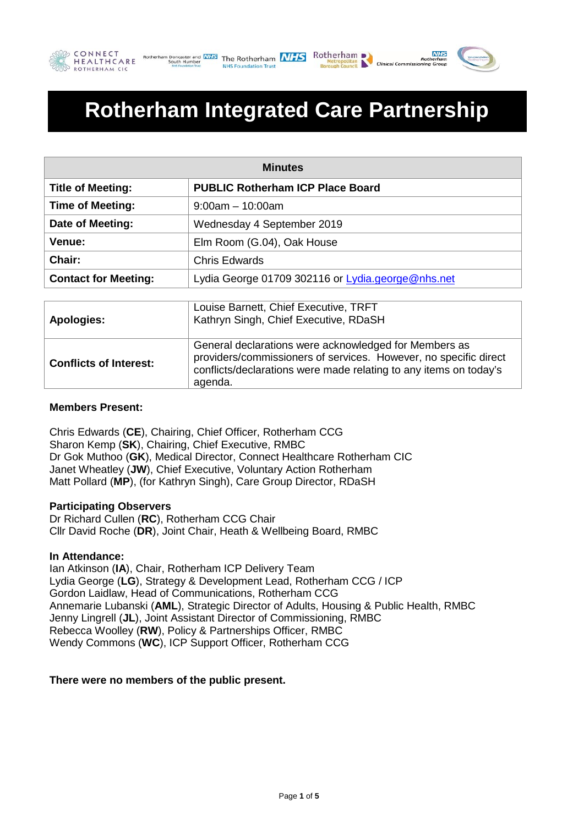





Roth

# **Rotherham Integrated Care Partnership**

| <b>Minutes</b>              |                                                                                |  |
|-----------------------------|--------------------------------------------------------------------------------|--|
| <b>Title of Meeting:</b>    | <b>PUBLIC Rotherham ICP Place Board</b>                                        |  |
| <b>Time of Meeting:</b>     | $9:00am - 10:00am$                                                             |  |
| Date of Meeting:            | Wednesday 4 September 2019                                                     |  |
| Venue:                      | Elm Room (G.04), Oak House                                                     |  |
| Chair:                      | <b>Chris Edwards</b>                                                           |  |
| <b>Contact for Meeting:</b> | Lydia George 01709 302116 or Lydia.george@nhs.net                              |  |
|                             |                                                                                |  |
| <b>Apologies:</b>           | Louise Barnett, Chief Executive, TRFT<br>Kathryn Singh, Chief Executive, RDaSH |  |
|                             | General declarations were acknowledged for Members as                          |  |

| General declarations were acknowledged for Members as<br>providers/commissioners of services. However, no specific direct<br><b>Conflicts of Interest:</b><br>conflicts/declarations were made relating to any items on today's<br>agenda. |  |
|--------------------------------------------------------------------------------------------------------------------------------------------------------------------------------------------------------------------------------------------|--|
|--------------------------------------------------------------------------------------------------------------------------------------------------------------------------------------------------------------------------------------------|--|

### **Members Present:**

Chris Edwards (**CE**), Chairing, Chief Officer, Rotherham CCG Sharon Kemp (**SK**), Chairing, Chief Executive, RMBC Dr Gok Muthoo (**GK**), Medical Director, Connect Healthcare Rotherham CIC Janet Wheatley (**JW**), Chief Executive, Voluntary Action Rotherham Matt Pollard (**MP**), (for Kathryn Singh), Care Group Director, RDaSH

#### **Participating Observers**

Dr Richard Cullen (**RC**), Rotherham CCG Chair Cllr David Roche (**DR**), Joint Chair, Heath & Wellbeing Board, RMBC

#### **In Attendance:**

Ian Atkinson (**IA**), Chair, Rotherham ICP Delivery Team Lydia George (**LG**), Strategy & Development Lead, Rotherham CCG / ICP Gordon Laidlaw, Head of Communications, Rotherham CCG Annemarie Lubanski (**AML**), Strategic Director of Adults, Housing & Public Health, RMBC Jenny Lingrell (**JL**), Joint Assistant Director of Commissioning, RMBC Rebecca Woolley (**RW**), Policy & Partnerships Officer, RMBC Wendy Commons (**WC**), ICP Support Officer, Rotherham CCG

#### **There were no members of the public present.**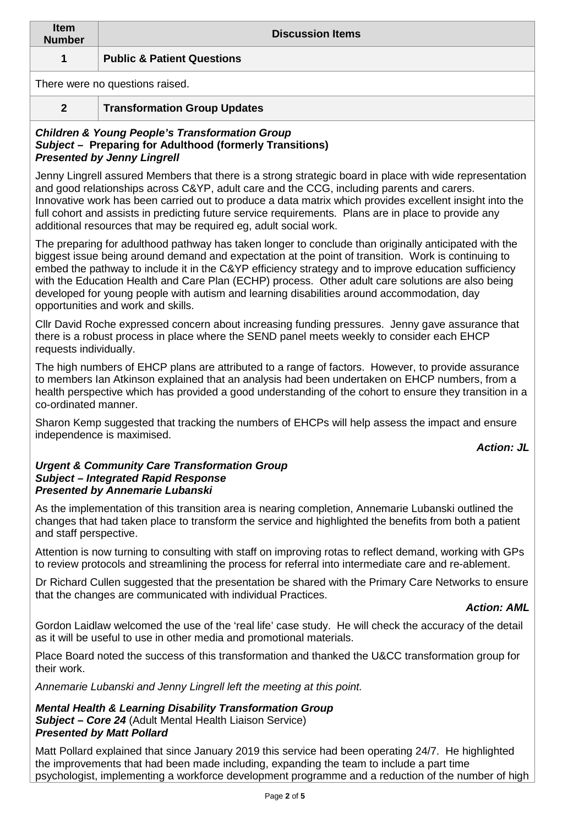| <b>Item</b><br><b>Number</b>    | <b>Discussion Items</b>               |  |
|---------------------------------|---------------------------------------|--|
|                                 | <b>Public &amp; Patient Questions</b> |  |
| There were no questions raised. |                                       |  |

## **2 Transformation Group Updates**

#### *Children & Young People's Transformation Group Subject –* **Preparing for Adulthood (formerly Transitions)** *Presented by Jenny Lingrell*

Jenny Lingrell assured Members that there is a strong strategic board in place with wide representation and good relationships across C&YP, adult care and the CCG, including parents and carers. Innovative work has been carried out to produce a data matrix which provides excellent insight into the full cohort and assists in predicting future service requirements. Plans are in place to provide any additional resources that may be required eg, adult social work.

The preparing for adulthood pathway has taken longer to conclude than originally anticipated with the biggest issue being around demand and expectation at the point of transition. Work is continuing to embed the pathway to include it in the C&YP efficiency strategy and to improve education sufficiency with the Education Health and Care Plan (ECHP) process. Other adult care solutions are also being developed for young people with autism and learning disabilities around accommodation, day opportunities and work and skills.

Cllr David Roche expressed concern about increasing funding pressures. Jenny gave assurance that there is a robust process in place where the SEND panel meets weekly to consider each EHCP requests individually.

The high numbers of EHCP plans are attributed to a range of factors. However, to provide assurance to members Ian Atkinson explained that an analysis had been undertaken on EHCP numbers, from a health perspective which has provided a good understanding of the cohort to ensure they transition in a co-ordinated manner.

Sharon Kemp suggested that tracking the numbers of EHCPs will help assess the impact and ensure independence is maximised.

## *Action: JL*

#### *Urgent & Community Care Transformation Group Subject – Integrated Rapid Response Presented by Annemarie Lubanski*

As the implementation of this transition area is nearing completion, Annemarie Lubanski outlined the changes that had taken place to transform the service and highlighted the benefits from both a patient and staff perspective.

Attention is now turning to consulting with staff on improving rotas to reflect demand, working with GPs to review protocols and streamlining the process for referral into intermediate care and re-ablement.

Dr Richard Cullen suggested that the presentation be shared with the Primary Care Networks to ensure that the changes are communicated with individual Practices.

#### *Action: AML*

Gordon Laidlaw welcomed the use of the 'real life' case study. He will check the accuracy of the detail as it will be useful to use in other media and promotional materials.

Place Board noted the success of this transformation and thanked the U&CC transformation group for their work.

*Annemarie Lubanski and Jenny Lingrell left the meeting at this point.*

#### *Mental Health & Learning Disability Transformation Group Subject – Core 24* (Adult Mental Health Liaison Service) *Presented by Matt Pollard*

Matt Pollard explained that since January 2019 this service had been operating 24/7. He highlighted the improvements that had been made including, expanding the team to include a part time psychologist, implementing a workforce development programme and a reduction of the number of high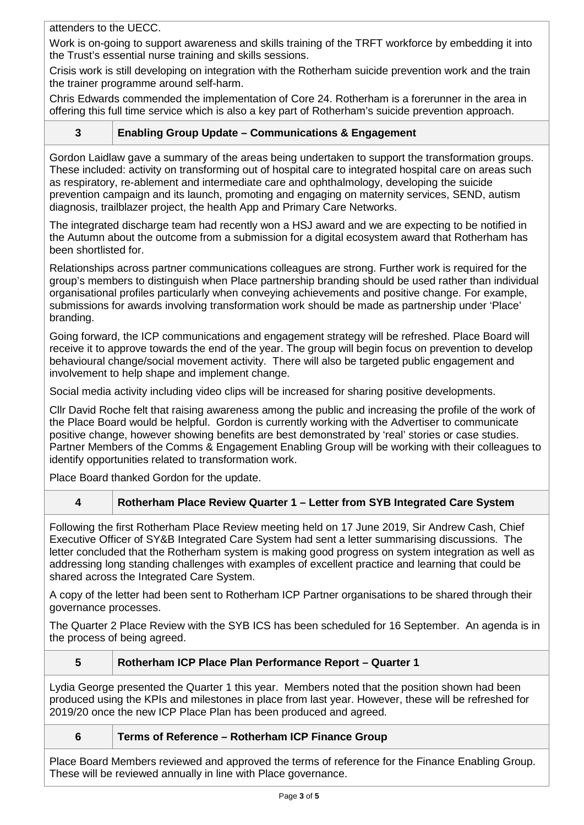attenders to the UECC.

Work is on-going to support awareness and skills training of the TRFT workforce by embedding it into the Trust's essential nurse training and skills sessions.

Crisis work is still developing on integration with the Rotherham suicide prevention work and the train the trainer programme around self-harm.

Chris Edwards commended the implementation of Core 24. Rotherham is a forerunner in the area in offering this full time service which is also a key part of Rotherham's suicide prevention approach.

## **3 Enabling Group Update – Communications & Engagement**

Gordon Laidlaw gave a summary of the areas being undertaken to support the transformation groups. These included: activity on transforming out of hospital care to integrated hospital care on areas such as respiratory, re-ablement and intermediate care and ophthalmology, developing the suicide prevention campaign and its launch, promoting and engaging on maternity services, SEND, autism diagnosis, trailblazer project, the health App and Primary Care Networks.

The integrated discharge team had recently won a HSJ award and we are expecting to be notified in the Autumn about the outcome from a submission for a digital ecosystem award that Rotherham has been shortlisted for.

Relationships across partner communications colleagues are strong. Further work is required for the group's members to distinguish when Place partnership branding should be used rather than individual organisational profiles particularly when conveying achievements and positive change. For example, submissions for awards involving transformation work should be made as partnership under 'Place' branding.

Going forward, the ICP communications and engagement strategy will be refreshed. Place Board will receive it to approve towards the end of the year. The group will begin focus on prevention to develop behavioural change/social movement activity. There will also be targeted public engagement and involvement to help shape and implement change.

Social media activity including video clips will be increased for sharing positive developments.

Cllr David Roche felt that raising awareness among the public and increasing the profile of the work of the Place Board would be helpful. Gordon is currently working with the Advertiser to communicate positive change, however showing benefits are best demonstrated by 'real' stories or case studies. Partner Members of the Comms & Engagement Enabling Group will be working with their colleagues to identify opportunities related to transformation work.

Place Board thanked Gordon for the update.

## **4 Rotherham Place Review Quarter 1 – Letter from SYB Integrated Care System**

Following the first Rotherham Place Review meeting held on 17 June 2019, Sir Andrew Cash, Chief Executive Officer of SY&B Integrated Care System had sent a letter summarising discussions. The letter concluded that the Rotherham system is making good progress on system integration as well as addressing long standing challenges with examples of excellent practice and learning that could be shared across the Integrated Care System.

A copy of the letter had been sent to Rotherham ICP Partner organisations to be shared through their governance processes.

The Quarter 2 Place Review with the SYB ICS has been scheduled for 16 September. An agenda is in the process of being agreed.

#### **5 Rotherham ICP Place Plan Performance Report – Quarter 1**

Lydia George presented the Quarter 1 this year. Members noted that the position shown had been produced using the KPIs and milestones in place from last year. However, these will be refreshed for 2019/20 once the new ICP Place Plan has been produced and agreed.

- 
- **6 Terms of Reference – Rotherham ICP Finance Group**

Place Board Members reviewed and approved the terms of reference for the Finance Enabling Group. These will be reviewed annually in line with Place governance.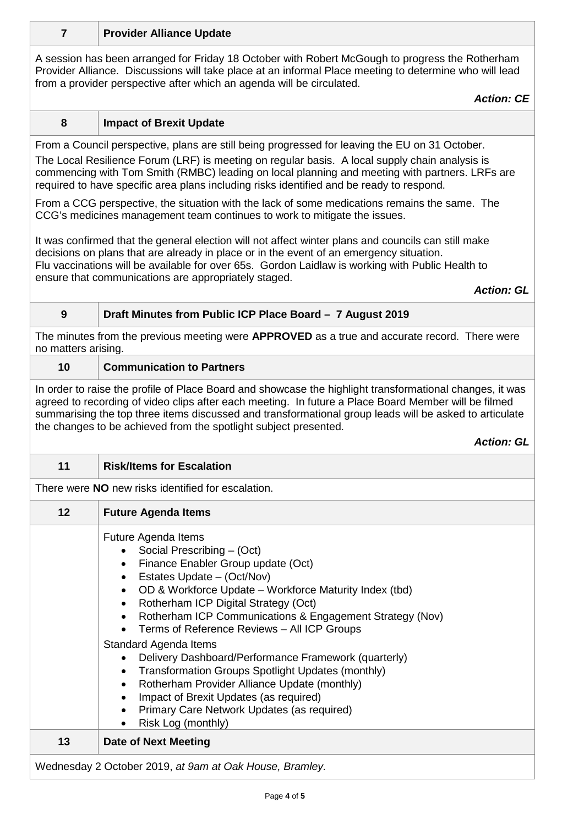| A session has been arranged for Friday 18 October with Robert McGough to progress the Rotherham<br>Provider Alliance. Discussions will take place at an informal Place meeting to determine who will lead<br>from a provider perspective after which an agenda will be circulated.<br><b>Action: CE</b><br>8<br><b>Impact of Brexit Update</b><br>From a Council perspective, plans are still being progressed for leaving the EU on 31 October.<br>The Local Resilience Forum (LRF) is meeting on regular basis. A local supply chain analysis is<br>commencing with Tom Smith (RMBC) leading on local planning and meeting with partners. LRFs are<br>required to have specific area plans including risks identified and be ready to respond.<br>From a CCG perspective, the situation with the lack of some medications remains the same. The<br>CCG's medicines management team continues to work to mitigate the issues.<br>It was confirmed that the general election will not affect winter plans and councils can still make<br>decisions on plans that are already in place or in the event of an emergency situation.<br>Flu vaccinations will be available for over 65s. Gordon Laidlaw is working with Public Health to<br>ensure that communications are appropriately staged.<br><b>Action: GL</b><br>$\boldsymbol{9}$<br>Draft Minutes from Public ICP Place Board - 7 August 2019<br>The minutes from the previous meeting were APPROVED as a true and accurate record. There were<br>no matters arising.<br>10<br><b>Communication to Partners</b><br>In order to raise the profile of Place Board and showcase the highlight transformational changes, it was<br>agreed to recording of video clips after each meeting. In future a Place Board Member will be filmed<br>summarising the top three items discussed and transformational group leads will be asked to articulate<br>the changes to be achieved from the spotlight subject presented.<br><b>Action: GL</b><br>11<br><b>Risk/Items for Escalation</b><br>There were <b>NO</b> new risks identified for escalation.<br>12<br><b>Future Agenda Items</b><br>Future Agenda Items<br>Social Prescribing - (Oct)<br>Finance Enabler Group update (Oct)<br>$\bullet$<br>Estates Update - (Oct/Nov)<br>OD & Workforce Update - Workforce Maturity Index (tbd)<br>$\bullet$<br>Rotherham ICP Digital Strategy (Oct)<br>$\bullet$<br>Rotherham ICP Communications & Engagement Strategy (Nov)<br>$\bullet$<br>Terms of Reference Reviews - All ICP Groups<br><b>Standard Agenda Items</b><br>Delivery Dashboard/Performance Framework (quarterly)<br>Transformation Groups Spotlight Updates (monthly)<br>$\bullet$<br>Rotherham Provider Alliance Update (monthly)<br>$\bullet$<br>Impact of Brexit Updates (as required)<br>$\bullet$<br>Primary Care Network Updates (as required)<br>$\bullet$<br>Risk Log (monthly) | $\overline{7}$ | <b>Provider Alliance Update</b> |  |
|-------------------------------------------------------------------------------------------------------------------------------------------------------------------------------------------------------------------------------------------------------------------------------------------------------------------------------------------------------------------------------------------------------------------------------------------------------------------------------------------------------------------------------------------------------------------------------------------------------------------------------------------------------------------------------------------------------------------------------------------------------------------------------------------------------------------------------------------------------------------------------------------------------------------------------------------------------------------------------------------------------------------------------------------------------------------------------------------------------------------------------------------------------------------------------------------------------------------------------------------------------------------------------------------------------------------------------------------------------------------------------------------------------------------------------------------------------------------------------------------------------------------------------------------------------------------------------------------------------------------------------------------------------------------------------------------------------------------------------------------------------------------------------------------------------------------------------------------------------------------------------------------------------------------------------------------------------------------------------------------------------------------------------------------------------------------------------------------------------------------------------------------------------------------------------------------------------------------------------------------------------------------------------------------------------------------------------------------------------------------------------------------------------------------------------------------------------------------------------------------------------------------------------------------------------------------------------------------------------------------------------------------------------------------------------------------------------------------------------------------------------------------------------------------------------------------------------------------------------------------------------------------------|----------------|---------------------------------|--|
|                                                                                                                                                                                                                                                                                                                                                                                                                                                                                                                                                                                                                                                                                                                                                                                                                                                                                                                                                                                                                                                                                                                                                                                                                                                                                                                                                                                                                                                                                                                                                                                                                                                                                                                                                                                                                                                                                                                                                                                                                                                                                                                                                                                                                                                                                                                                                                                                                                                                                                                                                                                                                                                                                                                                                                                                                                                                                                 |                |                                 |  |
|                                                                                                                                                                                                                                                                                                                                                                                                                                                                                                                                                                                                                                                                                                                                                                                                                                                                                                                                                                                                                                                                                                                                                                                                                                                                                                                                                                                                                                                                                                                                                                                                                                                                                                                                                                                                                                                                                                                                                                                                                                                                                                                                                                                                                                                                                                                                                                                                                                                                                                                                                                                                                                                                                                                                                                                                                                                                                                 |                |                                 |  |
|                                                                                                                                                                                                                                                                                                                                                                                                                                                                                                                                                                                                                                                                                                                                                                                                                                                                                                                                                                                                                                                                                                                                                                                                                                                                                                                                                                                                                                                                                                                                                                                                                                                                                                                                                                                                                                                                                                                                                                                                                                                                                                                                                                                                                                                                                                                                                                                                                                                                                                                                                                                                                                                                                                                                                                                                                                                                                                 |                |                                 |  |
|                                                                                                                                                                                                                                                                                                                                                                                                                                                                                                                                                                                                                                                                                                                                                                                                                                                                                                                                                                                                                                                                                                                                                                                                                                                                                                                                                                                                                                                                                                                                                                                                                                                                                                                                                                                                                                                                                                                                                                                                                                                                                                                                                                                                                                                                                                                                                                                                                                                                                                                                                                                                                                                                                                                                                                                                                                                                                                 |                |                                 |  |
|                                                                                                                                                                                                                                                                                                                                                                                                                                                                                                                                                                                                                                                                                                                                                                                                                                                                                                                                                                                                                                                                                                                                                                                                                                                                                                                                                                                                                                                                                                                                                                                                                                                                                                                                                                                                                                                                                                                                                                                                                                                                                                                                                                                                                                                                                                                                                                                                                                                                                                                                                                                                                                                                                                                                                                                                                                                                                                 |                |                                 |  |
|                                                                                                                                                                                                                                                                                                                                                                                                                                                                                                                                                                                                                                                                                                                                                                                                                                                                                                                                                                                                                                                                                                                                                                                                                                                                                                                                                                                                                                                                                                                                                                                                                                                                                                                                                                                                                                                                                                                                                                                                                                                                                                                                                                                                                                                                                                                                                                                                                                                                                                                                                                                                                                                                                                                                                                                                                                                                                                 |                |                                 |  |
|                                                                                                                                                                                                                                                                                                                                                                                                                                                                                                                                                                                                                                                                                                                                                                                                                                                                                                                                                                                                                                                                                                                                                                                                                                                                                                                                                                                                                                                                                                                                                                                                                                                                                                                                                                                                                                                                                                                                                                                                                                                                                                                                                                                                                                                                                                                                                                                                                                                                                                                                                                                                                                                                                                                                                                                                                                                                                                 |                |                                 |  |
|                                                                                                                                                                                                                                                                                                                                                                                                                                                                                                                                                                                                                                                                                                                                                                                                                                                                                                                                                                                                                                                                                                                                                                                                                                                                                                                                                                                                                                                                                                                                                                                                                                                                                                                                                                                                                                                                                                                                                                                                                                                                                                                                                                                                                                                                                                                                                                                                                                                                                                                                                                                                                                                                                                                                                                                                                                                                                                 |                |                                 |  |
|                                                                                                                                                                                                                                                                                                                                                                                                                                                                                                                                                                                                                                                                                                                                                                                                                                                                                                                                                                                                                                                                                                                                                                                                                                                                                                                                                                                                                                                                                                                                                                                                                                                                                                                                                                                                                                                                                                                                                                                                                                                                                                                                                                                                                                                                                                                                                                                                                                                                                                                                                                                                                                                                                                                                                                                                                                                                                                 |                |                                 |  |
|                                                                                                                                                                                                                                                                                                                                                                                                                                                                                                                                                                                                                                                                                                                                                                                                                                                                                                                                                                                                                                                                                                                                                                                                                                                                                                                                                                                                                                                                                                                                                                                                                                                                                                                                                                                                                                                                                                                                                                                                                                                                                                                                                                                                                                                                                                                                                                                                                                                                                                                                                                                                                                                                                                                                                                                                                                                                                                 |                |                                 |  |
|                                                                                                                                                                                                                                                                                                                                                                                                                                                                                                                                                                                                                                                                                                                                                                                                                                                                                                                                                                                                                                                                                                                                                                                                                                                                                                                                                                                                                                                                                                                                                                                                                                                                                                                                                                                                                                                                                                                                                                                                                                                                                                                                                                                                                                                                                                                                                                                                                                                                                                                                                                                                                                                                                                                                                                                                                                                                                                 |                |                                 |  |
|                                                                                                                                                                                                                                                                                                                                                                                                                                                                                                                                                                                                                                                                                                                                                                                                                                                                                                                                                                                                                                                                                                                                                                                                                                                                                                                                                                                                                                                                                                                                                                                                                                                                                                                                                                                                                                                                                                                                                                                                                                                                                                                                                                                                                                                                                                                                                                                                                                                                                                                                                                                                                                                                                                                                                                                                                                                                                                 |                |                                 |  |
|                                                                                                                                                                                                                                                                                                                                                                                                                                                                                                                                                                                                                                                                                                                                                                                                                                                                                                                                                                                                                                                                                                                                                                                                                                                                                                                                                                                                                                                                                                                                                                                                                                                                                                                                                                                                                                                                                                                                                                                                                                                                                                                                                                                                                                                                                                                                                                                                                                                                                                                                                                                                                                                                                                                                                                                                                                                                                                 |                |                                 |  |
|                                                                                                                                                                                                                                                                                                                                                                                                                                                                                                                                                                                                                                                                                                                                                                                                                                                                                                                                                                                                                                                                                                                                                                                                                                                                                                                                                                                                                                                                                                                                                                                                                                                                                                                                                                                                                                                                                                                                                                                                                                                                                                                                                                                                                                                                                                                                                                                                                                                                                                                                                                                                                                                                                                                                                                                                                                                                                                 |                |                                 |  |
|                                                                                                                                                                                                                                                                                                                                                                                                                                                                                                                                                                                                                                                                                                                                                                                                                                                                                                                                                                                                                                                                                                                                                                                                                                                                                                                                                                                                                                                                                                                                                                                                                                                                                                                                                                                                                                                                                                                                                                                                                                                                                                                                                                                                                                                                                                                                                                                                                                                                                                                                                                                                                                                                                                                                                                                                                                                                                                 |                |                                 |  |
| 13<br><b>Date of Next Meeting</b>                                                                                                                                                                                                                                                                                                                                                                                                                                                                                                                                                                                                                                                                                                                                                                                                                                                                                                                                                                                                                                                                                                                                                                                                                                                                                                                                                                                                                                                                                                                                                                                                                                                                                                                                                                                                                                                                                                                                                                                                                                                                                                                                                                                                                                                                                                                                                                                                                                                                                                                                                                                                                                                                                                                                                                                                                                                               |                |                                 |  |

Wednesday 2 October 2019, *at 9am at Oak House, Bramley.*